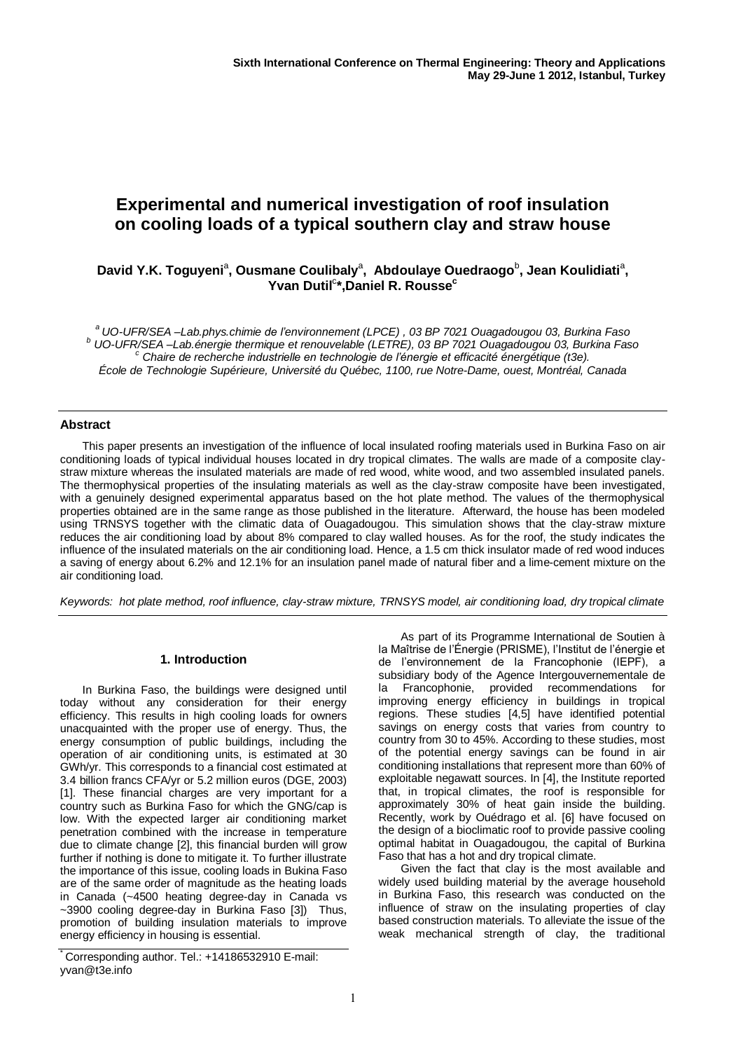# **Experimental and numerical investigation of roof insulation on cooling loads of a typical southern clay and straw house**

# David Y.K. Toguyeni<sup>a</sup>, Ousmane Coulibaly<sup>a</sup>, Abdoulaye Ouedraogo<sup>b</sup>, Jean Koulidiati<sup>a</sup>, **Yvan Dutil**<sup>c</sup> **\*,Daniel R. Rousse<sup>c</sup>**

*<sup>a</sup>UO-UFR/SEA –Lab.phys.chimie de l'environnement (LPCE) , 03 BP 7021 Ouagadougou 03, Burkina Faso <sup>b</sup> UO-UFR/SEA –Lab.énergie thermique et renouvelable (LETRE), 03 BP 7021 Ouagadougou 03, Burkina Faso <sup>c</sup> Chaire de recherche industrielle en technologie de l'énergie et efficacité énergétique (t3e). École de Technologie Supérieure, Université du Québec, 1100, rue Notre-Dame, ouest, Montréal, Canada*

# **Abstract**

This paper presents an investigation of the influence of local insulated roofing materials used in Burkina Faso on air conditioning loads of typical individual houses located in dry tropical climates. The walls are made of a composite claystraw mixture whereas the insulated materials are made of red wood, white wood, and two assembled insulated panels. The thermophysical properties of the insulating materials as well as the clay-straw composite have been investigated, with a genuinely designed experimental apparatus based on the hot plate method. The values of the thermophysical properties obtained are in the same range as those published in the literature. Afterward, the house has been modeled using TRNSYS together with the climatic data of Ouagadougou. This simulation shows that the clay-straw mixture reduces the air conditioning load by about 8% compared to clay walled houses. As for the roof, the study indicates the influence of the insulated materials on the air conditioning load. Hence, a 1.5 cm thick insulator made of red wood induces a saving of energy about 6.2% and 12.1% for an insulation panel made of natural fiber and a lime-cement mixture on the air conditioning load.

*Keywords: hot plate method, roof influence, clay-straw mixture, TRNSYS model, air conditioning load, dry tropical climate*

# **1. Introduction**

In Burkina Faso, the buildings were designed until today without any consideration for their energy efficiency. This results in high cooling loads for owners unacquainted with the proper use of energy. Thus, the energy consumption of public buildings, including the operation of air conditioning units, is estimated at 30 GWh/yr. This corresponds to a financial cost estimated at 3.4 billion francs CFA/yr or 5.2 million euros (DGE, 2003) [1]. These financial charges are very important for a country such as Burkina Faso for which the GNG/cap is low. With the expected larger air conditioning market penetration combined with the increase in temperature due to climate change [2], this financial burden will grow further if nothing is done to mitigate it. To further illustrate the importance of this issue, cooling loads in Bukina Faso are of the same order of magnitude as the heating loads in Canada (~4500 heating degree-day in Canada vs ~3900 cooling degree-day in Burkina Faso [3]) Thus, promotion of building insulation materials to improve energy efficiency in housing is essential.

\* Corresponding author. Tel.: +14186532910 E-mail: yvan@t3e.info

As part of its Programme International de Soutien à la Maîtrise de l'Énergie (PRISME), l'Institut de l'énergie et de l'environnement de la Francophonie (IEPF), a subsidiary body of the Agence Intergouvernementale de la Francophonie, provided recommendations for improving energy efficiency in buildings in tropical regions. These studies [4,5] have identified potential savings on energy costs that varies from country to country from 30 to 45%. According to these studies, most of the potential energy savings can be found in air conditioning installations that represent more than 60% of exploitable negawatt sources. In [4], the Institute reported that, in tropical climates, the roof is responsible for approximately 30% of heat gain inside the building. Recently, work by Ouédrago et al. [6] have focused on the design of a bioclimatic roof to provide passive cooling optimal habitat in Ouagadougou, the capital of Burkina Faso that has a hot and dry tropical climate.

Given the fact that clay is the most available and widely used building material by the average household in Burkina Faso, this research was conducted on the influence of straw on the insulating properties of clay based construction materials. To alleviate the issue of the weak mechanical strength of clay, the traditional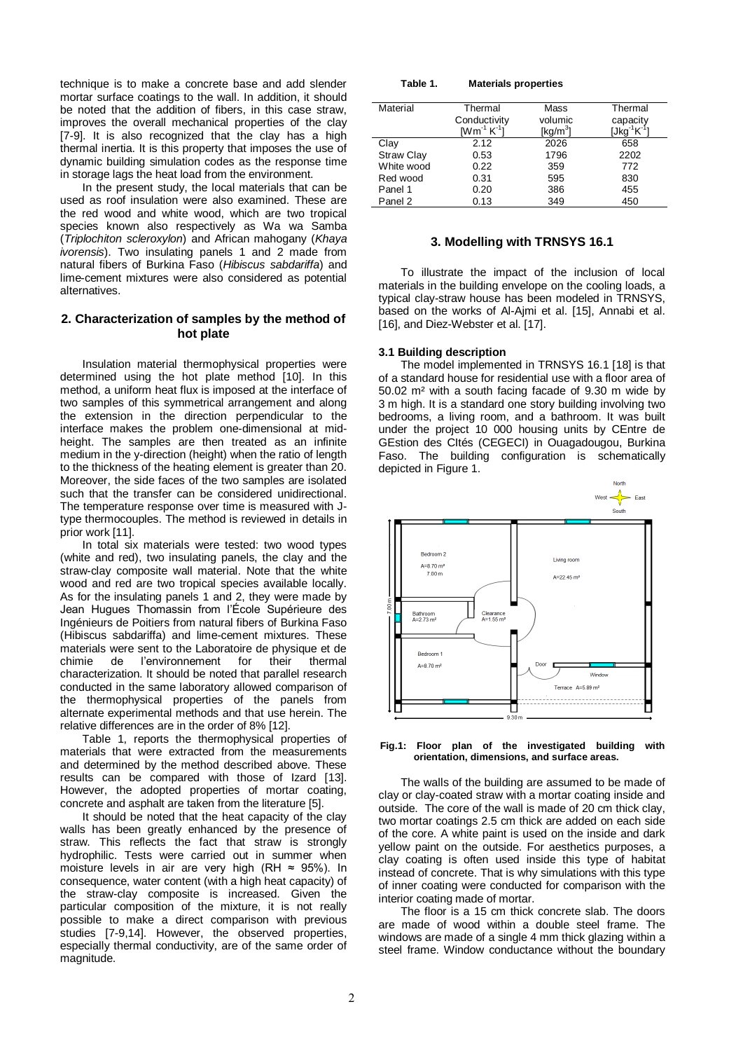technique is to make a concrete base and add slender mortar surface coatings to the wall. In addition, it should be noted that the addition of fibers, in this case straw, improves the overall mechanical properties of the clay [7-9]. It is also recognized that the clay has a high thermal inertia. It is this property that imposes the use of dynamic building simulation codes as the response time in storage lags the heat load from the environment.

In the present study, the local materials that can be used as roof insulation were also examined. These are the red wood and white wood, which are two tropical species known also respectively as Wa wa Samba (*Triplochiton scleroxylon*) and African mahogany (*Khaya ivorensis*). Two insulating panels 1 and 2 made from natural fibers of Burkina Faso (*Hibiscus sabdariffa*) and lime-cement mixtures were also considered as potential alternatives.

# **2. Characterization of samples by the method of hot plate**

Insulation material thermophysical properties were determined using the hot plate method [10]. In this method, a uniform heat flux is imposed at the interface of two samples of this symmetrical arrangement and along the extension in the direction perpendicular to the interface makes the problem one-dimensional at midheight. The samples are then treated as an infinite medium in the y-direction (height) when the ratio of length to the thickness of the heating element is greater than 20. Moreover, the side faces of the two samples are isolated such that the transfer can be considered unidirectional. The temperature response over time is measured with Jtype thermocouples. The method is reviewed in details in prior work [11].

In total six materials were tested: two wood types (white and red), two insulating panels, the clay and the straw-clay composite wall material. Note that the white wood and red are two tropical species available locally. As for the insulating panels 1 and 2, they were made by Jean Hugues Thomassin from l'École Supérieure des Ingénieurs de Poitiers from natural fibers of Burkina Faso (Hibiscus sabdariffa) and lime-cement mixtures. These materials were sent to the Laboratoire de physique et de chimie de l'environnement for their thermal characterization. It should be noted that parallel research conducted in the same laboratory allowed comparison of the thermophysical properties of the panels from alternate experimental methods and that use herein. The relative differences are in the order of 8% [12].

Table 1, reports the thermophysical properties of materials that were extracted from the measurements and determined by the method described above. These results can be compared with those of Izard [13]. However, the adopted properties of mortar coating, concrete and asphalt are taken from the literature [5].

It should be noted that the heat capacity of the clay walls has been greatly enhanced by the presence of straw. This reflects the fact that straw is strongly hydrophilic. Tests were carried out in summer when moisture levels in air are very high (RH  $\approx$  95%). In consequence, water content (with a high heat capacity) of the straw-clay composite is increased. Given the particular composition of the mixture, it is not really possible to make a direct comparison with previous studies [7-9,14]. However, the observed properties, especially thermal conductivity, are of the same order of magnitude.

| Table 1. |  | <b>Materials properties</b> |
|----------|--|-----------------------------|
|----------|--|-----------------------------|

| Material          | Thermal                                                              | Mass                 | Thermal  |
|-------------------|----------------------------------------------------------------------|----------------------|----------|
|                   | Conductivity                                                         | volumic              | capacity |
|                   | $\mathsf{I}\mathsf{W}\mathsf{m}^{\text{-}1}\,\mathsf{K}^{\text{-}1}$ | [kg/m <sup>3</sup> ] |          |
| Clay              | 2.12                                                                 | 2026                 | 658      |
| <b>Straw Clay</b> | 0.53                                                                 | 1796                 | 2202     |
| White wood        | 0.22                                                                 | 359                  | 772      |
| Red wood          | 0.31                                                                 | 595                  | 830      |
| Panel 1           | 0.20                                                                 | 386                  | 455      |
| Panel 2           | 0.13                                                                 | 349                  | 450      |

## **3. Modelling with TRNSYS 16.1**

To illustrate the impact of the inclusion of local materials in the building envelope on the cooling loads, a typical clay-straw house has been modeled in TRNSYS, based on the works of Al-Ajmi et al. [15], Annabi et al. [16], and Diez-Webster et al. [17].

#### **3.1 Building description**

The model implemented in TRNSYS 16.1 [18] is that of a standard house for residential use with a floor area of 50.02 m² with a south facing facade of 9.30 m wide by 3 m high. It is a standard one story building involving two bedrooms, a living room, and a bathroom. It was built under the project 10 000 housing units by CEntre de GEstion des CItés (CEGECI) in Ouagadougou, Burkina Faso. The building configuration is schematically depicted in Figure 1.



**Fig.1: Floor plan of the investigated building with orientation, dimensions, and surface areas.**

The walls of the building are assumed to be made of clay or clay-coated straw with a mortar coating inside and outside. The core of the wall is made of 20 cm thick clay, two mortar coatings 2.5 cm thick are added on each side of the core. A white paint is used on the inside and dark yellow paint on the outside. For aesthetics purposes, a clay coating is often used inside this type of habitat instead of concrete. That is why simulations with this type of inner coating were conducted for comparison with the interior coating made of mortar.

The floor is a 15 cm thick concrete slab. The doors are made of wood within a double steel frame. The windows are made of a single 4 mm thick glazing within a steel frame. Window conductance without the boundary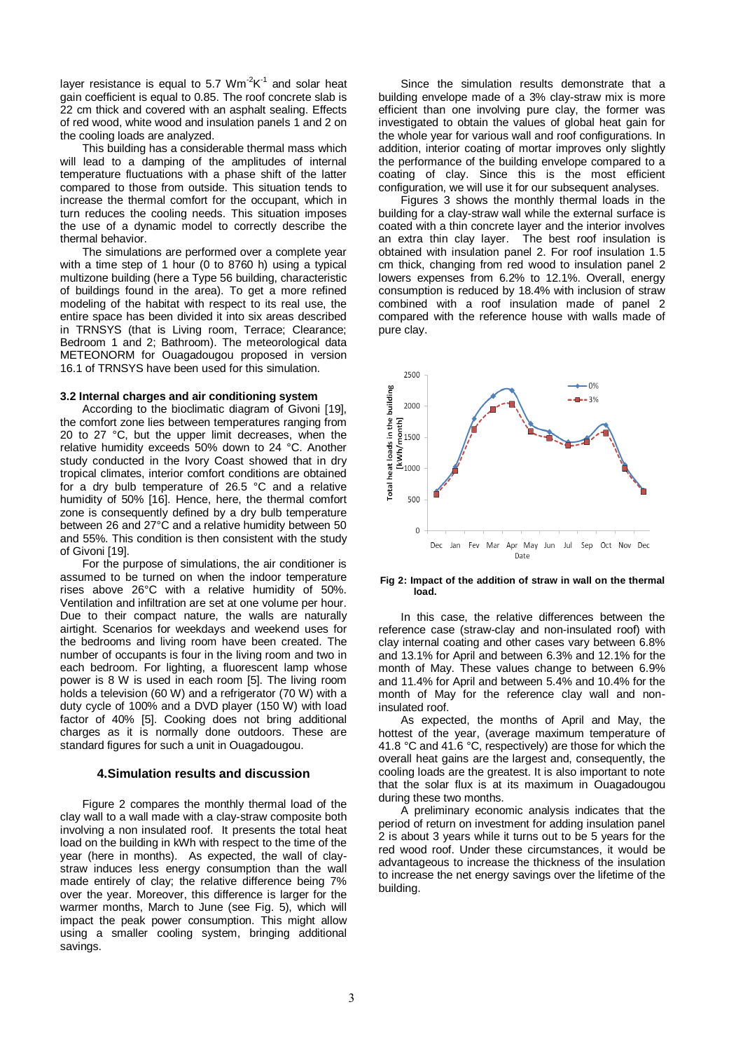layer resistance is equal to 5.7  $Wm^2K^1$  and solar heat gain coefficient is equal to 0.85. The roof concrete slab is 22 cm thick and covered with an asphalt sealing. Effects of red wood, white wood and insulation panels 1 and 2 on the cooling loads are analyzed.

This building has a considerable thermal mass which will lead to a damping of the amplitudes of internal temperature fluctuations with a phase shift of the latter compared to those from outside. This situation tends to increase the thermal comfort for the occupant, which in turn reduces the cooling needs. This situation imposes the use of a dynamic model to correctly describe the thermal behavior.

The simulations are performed over a complete year with a time step of 1 hour (0 to 8760 h) using a typical multizone building (here a Type 56 building, characteristic of buildings found in the area). To get a more refined modeling of the habitat with respect to its real use, the entire space has been divided it into six areas described in TRNSYS (that is Living room, Terrace; Clearance; Bedroom 1 and 2; Bathroom). The meteorological data METEONORM for Ouagadougou proposed in version 16.1 of TRNSYS have been used for this simulation.

#### **3.2 Internal charges and air conditioning system**

According to the bioclimatic diagram of Givoni [19], the comfort zone lies between temperatures ranging from 20 to 27 °C, but the upper limit decreases, when the relative humidity exceeds 50% down to 24 °C. Another study conducted in the Ivory Coast showed that in dry tropical climates, interior comfort conditions are obtained for a dry bulb temperature of 26.5 °C and a relative humidity of 50% [16]. Hence, here, the thermal comfort zone is consequently defined by a dry bulb temperature between 26 and 27°C and a relative humidity between 50 and 55%. This condition is then consistent with the study of Givoni [19].

For the purpose of simulations, the air conditioner is assumed to be turned on when the indoor temperature rises above 26°C with a relative humidity of 50%. Ventilation and infiltration are set at one volume per hour. Due to their compact nature, the walls are naturally airtight. Scenarios for weekdays and weekend uses for the bedrooms and living room have been created. The number of occupants is four in the living room and two in each bedroom. For lighting, a fluorescent lamp whose power is 8 W is used in each room [5]. The living room holds a television (60 W) and a refrigerator (70 W) with a duty cycle of 100% and a DVD player (150 W) with load factor of 40% [5]. Cooking does not bring additional charges as it is normally done outdoors. These are standard figures for such a unit in Ouagadougou.

#### **4.Simulation results and discussion**

Figure 2 compares the monthly thermal load of the clay wall to a wall made with a clay-straw composite both involving a non insulated roof. It presents the total heat load on the building in kWh with respect to the time of the year (here in months). As expected, the wall of claystraw induces less energy consumption than the wall made entirely of clay; the relative difference being 7% over the year. Moreover, this difference is larger for the warmer months, March to June (see Fig. 5), which will impact the peak power consumption. This might allow using a smaller cooling system, bringing additional savings.

Since the simulation results demonstrate that a building envelope made of a 3% clay-straw mix is more efficient than one involving pure clay, the former was investigated to obtain the values of global heat gain for the whole year for various wall and roof configurations. In addition, interior coating of mortar improves only slightly the performance of the building envelope compared to a coating of clay. Since this is the most efficient configuration, we will use it for our subsequent analyses.

Figures 3 shows the monthly thermal loads in the building for a clay-straw wall while the external surface is coated with a thin concrete layer and the interior involves an extra thin clay layer. The best roof insulation is obtained with insulation panel 2. For roof insulation 1.5 cm thick, changing from red wood to insulation panel 2 lowers expenses from 6.2% to 12.1%. Overall, energy consumption is reduced by 18.4% with inclusion of straw combined with a roof insulation made of panel 2 compared with the reference house with walls made of pure clay.



#### **Fig 2: Impact of the addition of straw in wall on the thermal load.**

In this case, the relative differences between the reference case (straw-clay and non-insulated roof) with clay internal coating and other cases vary between 6.8% and 13.1% for April and between 6.3% and 12.1% for the month of May. These values change to between 6.9% and 11.4% for April and between 5.4% and 10.4% for the month of May for the reference clay wall and noninsulated roof.

As expected, the months of April and May, the hottest of the year, (average maximum temperature of 41.8 °C and 41.6 °C, respectively) are those for which the overall heat gains are the largest and, consequently, the cooling loads are the greatest. It is also important to note that the solar flux is at its maximum in Ouagadougou during these two months.

A preliminary economic analysis indicates that the period of return on investment for adding insulation panel 2 is about 3 years while it turns out to be 5 years for the red wood roof. Under these circumstances, it would be advantageous to increase the thickness of the insulation to increase the net energy savings over the lifetime of the building.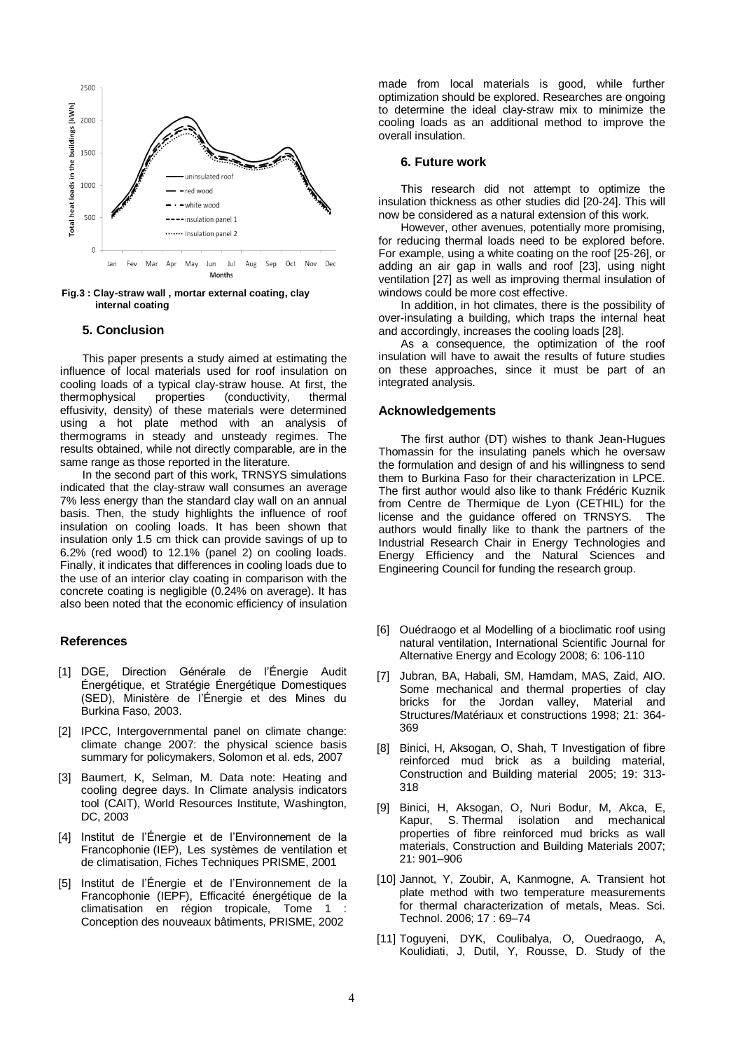

**Fig.3 : Clay-straw wall , mortar external coating, clay internal coating**

## **5. Conclusion**

This paper presents a study aimed at estimating the influence of local materials used for roof insulation on cooling loads of a typical clay-straw house. At first, the thermophysical properties (conductivity, thermal effusivity, density) of these materials were determined using a hot plate method with an analysis of thermograms in steady and unsteady regimes. The results obtained, while not directly comparable, are in the same range as those reported in the literature.

In the second part of this work, TRNSYS simulations indicated that the clay-straw wall consumes an average 7% less energy than the standard clay wall on an annual basis. Then, the study highlights the influence of roof insulation on cooling loads. It has been shown that insulation only 1.5 cm thick can provide savings of up to 6.2% (red wood) to 12.1% (panel 2) on cooling loads. Finally, it indicates that differences in cooling loads due to the use of an interior clay coating in comparison with the concrete coating is negligible (0.24% on average). It has also been noted that the economic efficiency of insulation

#### **References**

- [1] DGE, Direction Générale de l'Énergie Audit Énergétique, et Stratégie Énergétique Domestiques (SED), Ministère de l'Énergie et des Mines du Burkina Faso, 2003.
- [2] IPCC, Intergovernmental panel on climate change: climate change 2007: the physical science basis summary for policymakers, Solomon et al. eds, 2007
- [3] Baumert, K. Selman, M. Data note: Heating and cooling degree days. In Climate analysis indicators tool (CAIT), World Resources Institute, Washington, DC, 2003
- [4] Institut de l'Énergie et de l'Environnement de la Francophonie (IEP), Les systèmes de ventilation et de climatisation, Fiches Techniques PRISME, 2001
- [5] Institut de l'Énergie et de l'Environnement de la Francophonie (IEPF), Efficacité énergétique de la climatisation en région tropicale, Tome 1 Conception des nouveaux bâtiments, PRISME, 2002

made from local materials is good, while further optimization should be explored. Researches are ongoing to determine the ideal clay-straw mix to minimize the cooling loads as an additional method to improve the overall insulation.

# **6. Future work**

This research did not attempt to optimize the insulation thickness as other studies did [20-24]. This will now be considered as a natural extension of this work.

However, other avenues, potentially more promising, for reducing thermal loads need to be explored before. For example, using a white coating on the roof [25-26], or adding an air gap in walls and roof [23], using night ventilation [27] as well as improving thermal insulation of windows could be more cost effective.

In addition, in hot climates, there is the possibility of over-insulating a building, which traps the internal heat and accordingly, increases the cooling loads [28].

As a consequence, the optimization of the roof insulation will have to await the results of future studies on these approaches, since it must be part of an integrated analysis.

#### **Acknowledgements**

The first author (DT) wishes to thank Jean-Hugues Thomassin for the insulating panels which he oversaw the formulation and design of and his willingness to send them to Burkina Faso for their characterization in LPCE. The first author would also like to thank Frédéric Kuznik from Centre de Thermique de Lyon (CETHIL) for the license and the guidance offered on TRNSYS. The authors would finally like to thank the partners of the Industrial Research Chair in Energy Technologies and Energy Efficiency and the Natural Sciences and Engineering Council for funding the research group.

- [6] Ouédraogo et al Modelling of a bioclimatic roof using natural ventilation, International Scientific Journal for Alternative Energy and Ecology 2008; 6: 106-110
- [7] Jubran, BA, Habali, SM, Hamdam, MAS, Zaid, AIO. Some mechanical and thermal properties of clay bricks for the Jordan valley, Material and Structures/Matériaux et constructions 1998; 21: 364- 369
- [8] Binici, H, Aksogan, O, Shah, T Investigation of fibre reinforced mud brick as a building material, Construction and Building material 2005; 19: 313- 318
- [9] Binici, H, Aksogan, O, Nuri Bodur, M, Akca, E, Kapur, S. Thermal isolation and mechanical properties of fibre reinforced mud bricks as wall materials, Construction and Building Materials 2007; 21: 901–906
- [10] Jannot, Y, Zoubir, A, Kanmogne, A. Transient hot plate method with two temperature measurements for thermal characterization of metals, Meas. Sci. Technol. 2006; 17 : 69–74
- [11] Toguyeni, DYK, Coulibalya, O, Ouedraogo, A, Koulidiati, J, Dutil, Y, Rousse, D. Study of the